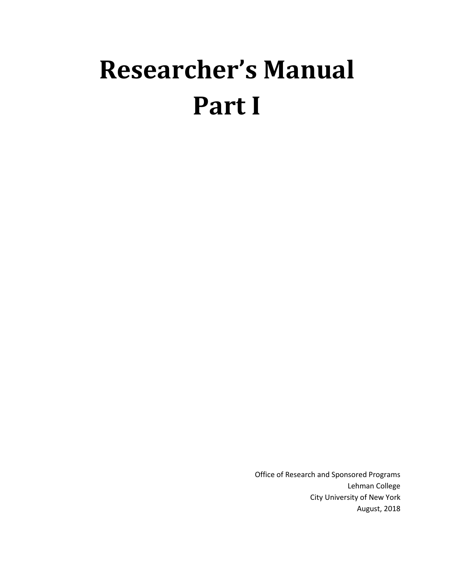# **Researcher's Manual Part I**

Office of Research and Sponsored Programs Lehman College City University of New York August, 2018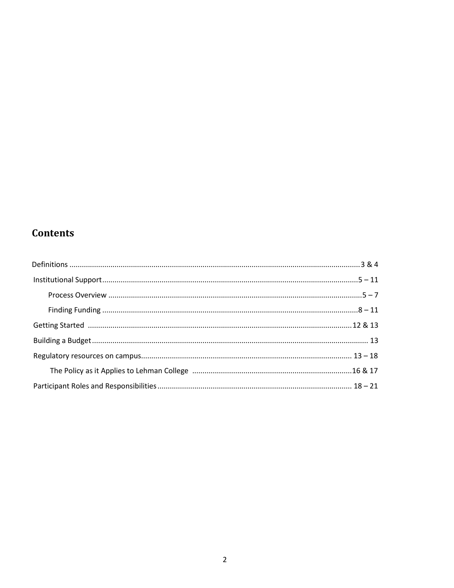# **Contents**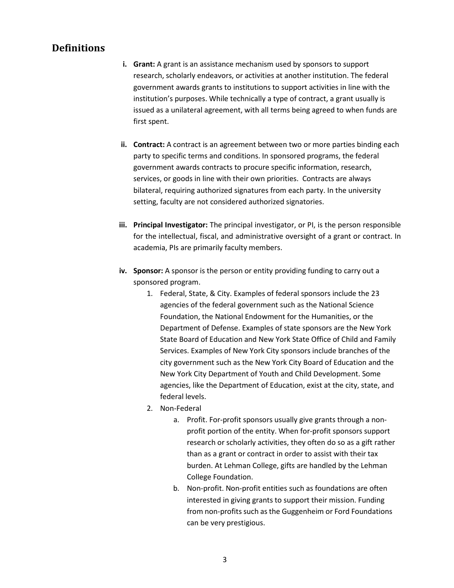# <span id="page-2-0"></span>**Definitions**

- **i. Grant:** A grant is an assistance mechanism used by sponsors to support research, scholarly endeavors, or activities at another institution. The federal government awards grants to institutions to support activities in line with the institution's purposes. While technically a type of contract, a grant usually is issued as a unilateral agreement, with all terms being agreed to when funds are first spent.
- **ii. Contract:** A contract is an agreement between two or more parties binding each party to specific terms and conditions. In sponsored programs, the federal government awards contracts to procure specific information, research, services, or goods in line with their own priorities. Contracts are always bilateral, requiring authorized signatures from each party. In the university setting, faculty are not considered authorized signatories.
- **iii. Principal Investigator:** The principal investigator, or PI, is the person responsible for the intellectual, fiscal, and administrative oversight of a grant or contract. In academia, PIs are primarily faculty members.
- **iv. Sponsor:** A sponsor is the person or entity providing funding to carry out a sponsored program.
	- 1. Federal, State, & City. Examples of federal sponsors include the 23 agencies of the federal government such as the National Science Foundation, the National Endowment for the Humanities, or the Department of Defense. Examples of state sponsors are the New York State Board of Education and New York State Office of Child and Family Services. Examples of New York City sponsors include branches of the city government such as the New York City Board of Education and the New York City Department of Youth and Child Development. Some agencies, like the Department of Education, exist at the city, state, and federal levels.
	- 2. Non‐Federal
		- a. Profit. For‐profit sponsors usually give grants through a non‐ profit portion of the entity. When for‐profit sponsors support research or scholarly activities, they often do so as a gift rather than as a grant or contract in order to assist with their tax burden. At Lehman College, gifts are handled by the Lehman College Foundation.
		- b. Non‐profit. Non‐profit entities such as foundations are often interested in giving grants to support their mission. Funding from non-profits such as the Guggenheim or Ford Foundations can be very prestigious.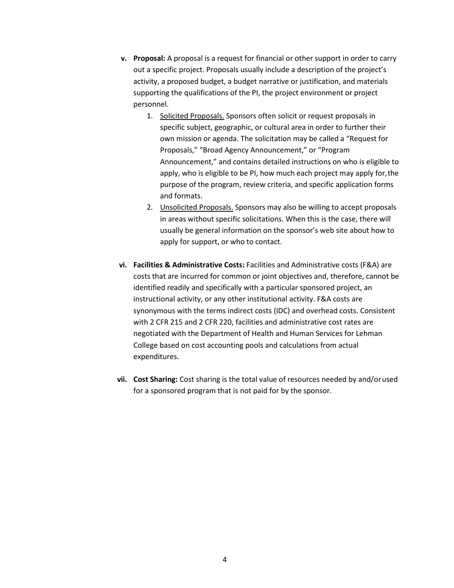- <span id="page-3-0"></span>**v. Proposal:** A proposal is a request for financial or other support in order to carry out a specific project. Proposals usually include a description of the project's activity, a proposed budget, a budget narrative or justification, and materials supporting the qualifications of the PI, the project environment or project personnel.
	- 1. Solicited Proposals. Sponsors often solicit or request proposals in specific subject, geographic, or cultural area in order to further their own mission or agenda. The solicitation may be called a "Request for Proposals," "Broad Agency Announcement," or "Program Announcement," and contains detailed instructions on who is eligible to apply, who is eligible to be PI, how much each project may apply for,the purpose of the program, review criteria, and specific application forms and formats.
	- 2. Unsolicited Proposals. Sponsors may also be willing to accept proposals in areas without specific solicitations. When this is the case, there will usually be general information on the sponsor's web site about how to apply for support, or who to contact.
- **vi. Facilities & Administrative Costs:** Facilities and Administrative costs (F&A) are costs that are incurred for common or joint objectives and, therefore, cannot be identified readily and specifically with a particular sponsored project, an instructional activity, or any other institutional activity. F&A costs are synonymous with the terms indirect costs (IDC) and overhead costs. Consistent with 2 CFR 215 and 2 CFR 220, facilities and administrative cost rates are negotiated with the Department of Health and Human Services for Lehman College based on cost accounting pools and calculations from actual expenditures.
- **vii. Cost Sharing:** Cost sharing is the total value of resources needed by and/orused for a sponsored program that is not paid for by the sponsor.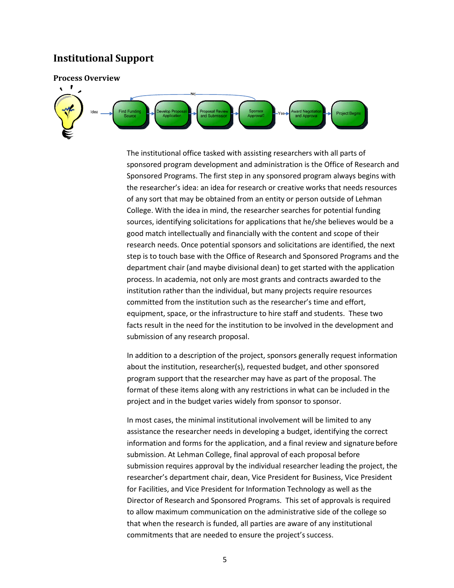## **Institutional Support**

#### **Process Overview**



The institutional office tasked with assisting researchers with all parts of sponsored program development and administration is the Office of Research and Sponsored Programs. The first step in any sponsored program always begins with the researcher's idea: an idea for research or creative works that needs resources of any sort that may be obtained from an entity or person outside of Lehman College. With the idea in mind, the researcher searches for potential funding sources, identifying solicitations for applications that he/she believes would be a good match intellectually and financially with the content and scope of their research needs. Once potential sponsors and solicitations are identified, the next step is to touch base with the Office of Research and Sponsored Programs and the department chair (and maybe divisional dean) to get started with the application process. In academia, not only are most grants and contracts awarded to the institution rather than the individual, but many projects require resources committed from the institution such as the researcher's time and effort, equipment, space, or the infrastructure to hire staff and students. These two facts result in the need for the institution to be involved in the development and submission of any research proposal.

In addition to a description of the project, sponsors generally request information about the institution, researcher(s), requested budget, and other sponsored program support that the researcher may have as part of the proposal. The format of these items along with any restrictions in what can be included in the project and in the budget varies widely from sponsor to sponsor.

In most cases, the minimal institutional involvement will be limited to any assistance the researcher needs in developing a budget, identifying the correct information and forms for the application, and a final review and signaturebefore submission. At Lehman College, final approval of each proposal before submission requires approval by the individual researcher leading the project, the researcher's department chair, dean, Vice President for Business, Vice President for Facilities, and Vice President for Information Technology as well as the Director of Research and Sponsored Programs. This set of approvals is required to allow maximum communication on the administrative side of the college so that when the research is funded, all parties are aware of any institutional commitments that are needed to ensure the project's success.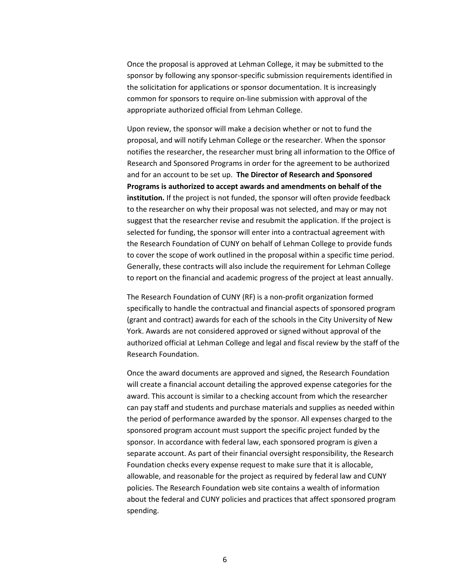Once the proposal is approved at Lehman College, it may be submitted to the sponsor by following any sponsor‐specific submission requirements identified in the solicitation for applications or sponsor documentation. It is increasingly common for sponsors to require on-line submission with approval of the appropriate authorized official from Lehman College.

Upon review, the sponsor will make a decision whether or not to fund the proposal, and will notify Lehman College or the researcher. When the sponsor notifies the researcher, the researcher must bring all information to the Office of Research and Sponsored Programs in order for the agreement to be authorized and for an account to be set up. **The Director of Research and Sponsored Programs is authorized to accept awards and amendments on behalf of the institution.** If the project is not funded, the sponsor will often provide feedback to the researcher on why their proposal was not selected, and may or may not suggest that the researcher revise and resubmit the application. If the project is selected for funding, the sponsor will enter into a contractual agreement with the Research Foundation of CUNY on behalf of Lehman College to provide funds to cover the scope of work outlined in the proposal within a specific time period. Generally, these contracts will also include the requirement for Lehman College to report on the financial and academic progress of the project at least annually.

The Research Foundation of CUNY (RF) is a non‐profit organization formed specifically to handle the contractual and financial aspects of sponsored program (grant and contract) awards for each of the schools in the City University of New York. Awards are not considered approved or signed without approval of the authorized official at Lehman College and legal and fiscal review by the staff of the Research Foundation.

Once the award documents are approved and signed, the Research Foundation will create a financial account detailing the approved expense categories for the award. This account is similar to a checking account from which the researcher can pay staff and students and purchase materials and supplies as needed within the period of performance awarded by the sponsor. All expenses charged to the sponsored program account must support the specific project funded by the sponsor. In accordance with federal law, each sponsored program is given a separate account. As part of their financial oversight responsibility, the Research Foundation checks every expense request to make sure that it is allocable, allowable, and reasonable for the project as required by federal law and CUNY policies. The Research Foundation web site contains a wealth of information about the federal and CUNY policies and practices that affect sponsored program spending.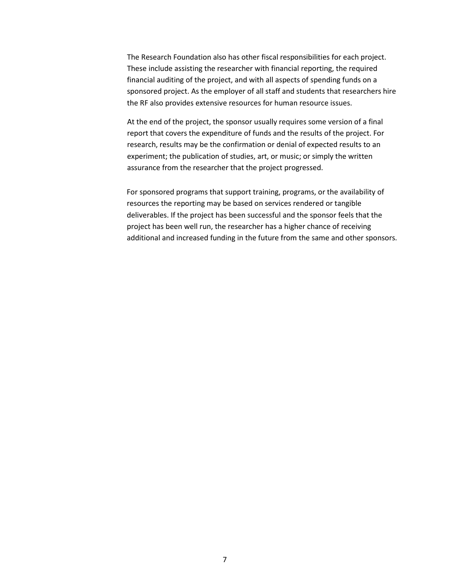The Research Foundation also has other fiscal responsibilities for each project. These include assisting the researcher with financial reporting, the required financial auditing of the project, and with all aspects of spending funds on a sponsored project. As the employer of all staff and students that researchers hire the RF also provides extensive resources for human resource issues.

At the end of the project, the sponsor usually requires some version of a final report that covers the expenditure of funds and the results of the project. For research, results may be the confirmation or denial of expected results to an experiment; the publication of studies, art, or music; or simply the written assurance from the researcher that the project progressed.

For sponsored programs that support training, programs, or the availability of resources the reporting may be based on services rendered or tangible deliverables. If the project has been successful and the sponsor feels that the project has been well run, the researcher has a higher chance of receiving additional and increased funding in the future from the same and other sponsors.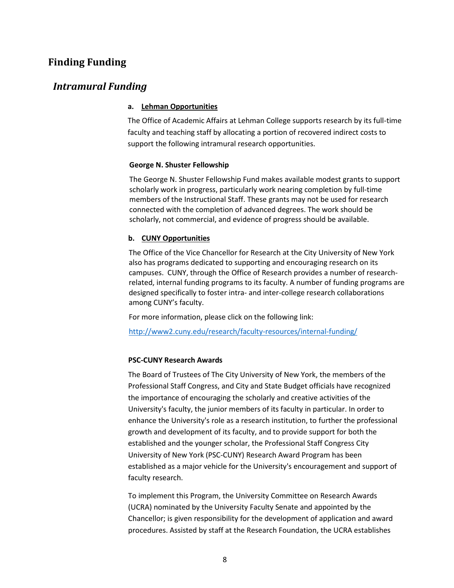## <span id="page-7-0"></span>**Finding Funding**

## *Intramural Funding*

#### **a. Lehman Opportunities**

The Office of Academic Affairs at Lehman College supports research by its full-time faculty and teaching staff by allocating a portion of recovered indirect costs to support the following intramural research opportunities.

#### **George N. Shuster Fellowship**

The George N. Shuster Fellowship Fund makes available modest grants to support scholarly work in progress, particularly work nearing completion by full-time members of the Instructional Staff. These grants may not be used for research connected with the completion of advanced degrees. The work should be scholarly, not commercial, and evidence of progress should be available.

#### **b. CUNY Opportunities**

The Office of the Vice Chancellor for Research at the City University of New York also has programs dedicated to supporting and encouraging research on its campuses. CUNY, through the Office of Research provides a number of researchrelated, internal funding programs to its faculty. A number of funding programs are designed specifically to foster intra- and inter-college research collaborations among CUNY's faculty.

For more information, please click on the following link:

<http://www2.cuny.edu/research/faculty-resources/internal-funding/>

#### **PSC-CUNY Research Awards**

The Board of Trustees of The City University of New York, the members of the Professional Staff Congress, and City and State Budget officials have recognized the importance of encouraging the scholarly and creative activities of the University's faculty, the junior members of its faculty in particular. In order to enhance the University's role as a research institution, to further the professional growth and development of its faculty, and to provide support for both the established and the younger scholar, the Professional Staff Congress City University of New York (PSC‐CUNY) Research Award Program has been established as a major vehicle for the University's encouragement and support of faculty research.

To implement this Program, the University Committee on Research Awards (UCRA) nominated by the University Faculty Senate and appointed by the Chancellor; is given responsibility for the development of application and award procedures. Assisted by staff at the Research Foundation, the UCRA establishes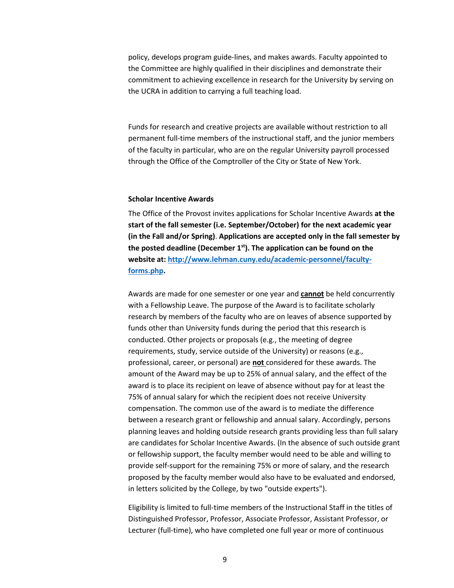policy, develops program guide‐lines, and makes awards. Faculty appointed to the Committee are highly qualified in their disciplines and demonstrate their commitment to achieving excellence in research for the University by serving on the UCRA in addition to carrying a full teaching load.

Funds for research and creative projects are available without restriction to all permanent full‐time members of the instructional staff, and the junior members of the faculty in particular, who are on the regular University payroll processed through the Office of the Comptroller of the City or State of New York.

#### **Scholar Incentive Awards**

The Office of the Provost invites applications for Scholar Incentive Awards **at the start of the fall semester (i.e. September/October) for the next academic year (in the Fall and/or Spring)**. **Applications are accepted only in the fall semester by the posted deadline (December 1st). The application can be found on the website at: [http://www.lehman.cuny.edu/academic-personnel/faculty](http://www.lehman.cuny.edu/academic-personnel/faculty-forms.php)[forms.php.](http://www.lehman.cuny.edu/academic-personnel/faculty-forms.php)**

Awards are made for one semester or one year and **cannot** be held concurrently with a Fellowship Leave. The purpose of the Award is to facilitate scholarly research by members of the faculty who are on leaves of absence supported by funds other than University funds during the period that this research is conducted. Other projects or proposals (e.g., the meeting of degree requirements, study, service outside of the University) or reasons (e.g., professional, career, or personal) are **not** considered for these awards. The amount of the Award may be up to 25% of annual salary, and the effect of the award is to place its recipient on leave of absence without pay for at least the 75% of annual salary for which the recipient does not receive University compensation. The common use of the award is to mediate the difference between a research grant or fellowship and annual salary. Accordingly, persons planning leaves and holding outside research grants providing less than full salary are candidates for Scholar Incentive Awards. (In the absence of such outside grant or fellowship support, the faculty member would need to be able and willing to provide self-support for the remaining 75% or more of salary, and the research proposed by the faculty member would also have to be evaluated and endorsed, in letters solicited by the College, by two "outside experts").

Eligibility is limited to full‐time members of the Instructional Staff in the titles of Distinguished Professor, Professor, Associate Professor, Assistant Professor, or Lecturer (full-time), who have completed one full year or more of continuous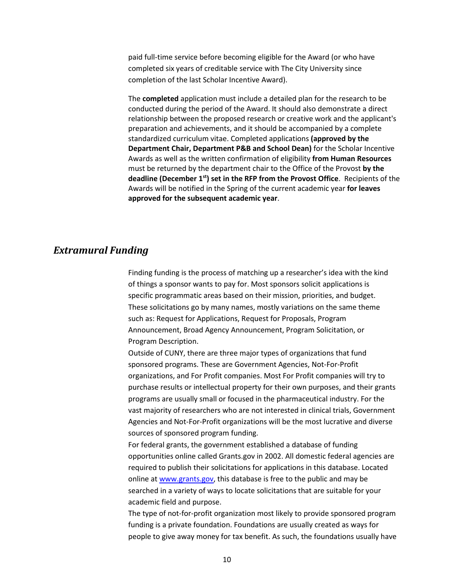paid full-time service before becoming eligible for the Award (or who have completed six years of creditable service with The City University since completion of the last Scholar Incentive Award).

The **completed** application must include a detailed plan for the research to be conducted during the period of the Award. It should also demonstrate a direct relationship between the proposed research or creative work and the applicant's preparation and achievements, and it should be accompanied by a complete standardized curriculum vitae. Completed applications **(approved by the Department Chair, Department P&B and School Dean)** for the Scholar Incentive Awards as well as the written confirmation of eligibility **from Human Resources** must be returned by the department chair to the Office of the Provost **by the deadline (December 1st) set in the RFP from the Provost Office**. Recipients of the Awards will be notified in the Spring of the current academic year **for leaves approved for the subsequent academic year**.

## *Extramural Funding*

Finding funding is the process of matching up a researcher's idea with the kind of things a sponsor wants to pay for. Most sponsors solicit applications is specific programmatic areas based on their mission, priorities, and budget. These solicitations go by many names, mostly variations on the same theme such as: Request for Applications, Request for Proposals, Program Announcement, Broad Agency Announcement, Program Solicitation, or Program Description.

Outside of CUNY, there are three major types of organizations that fund sponsored programs. These are Government Agencies, Not‐For‐Profit organizations, and For Profit companies. Most For Profit companies will try to purchase results or intellectual property for their own purposes, and their grants programs are usually small or focused in the pharmaceutical industry. For the vast majority of researchers who are not interested in clinical trials, Government Agencies and Not‐For‐Profit organizations will be the most lucrative and diverse sources of sponsored program funding.

For federal grants, the government established a database of funding opportunities online called Grants.gov in 2002. All domestic federal agencies are required to publish their solicitations for applications in this database. Located online at [www.grants.gov,](http://www.grants.gov/) this database is free to the public and may be searched in a variety of ways to locate solicitations that are suitable for your academic field and purpose.

The type of not-for-profit organization most likely to provide sponsored program funding is a private foundation. Foundations are usually created as ways for people to give away money for tax benefit. As such, the foundations usually have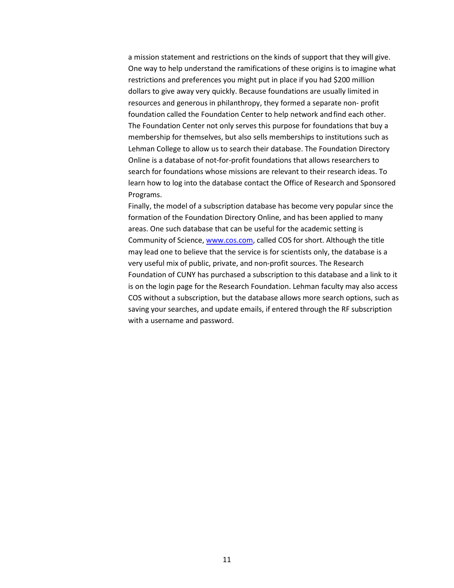a mission statement and restrictions on the kinds of support that they will give. One way to help understand the ramifications of these origins is to imagine what restrictions and preferences you might put in place if you had \$200 million dollars to give away very quickly. Because foundations are usually limited in resources and generous in philanthropy, they formed a separate non‐ profit foundation called the Foundation Center to help network andfind each other. The Foundation Center not only serves this purpose for foundations that buy a membership for themselves, but also sells memberships to institutions such as Lehman College to allow us to search their database. The Foundation Directory Online is a database of not‐for‐profit foundations that allows researchers to search for foundations whose missions are relevant to their research ideas. To learn how to log into the database contact the Office of Research and Sponsored Programs.

Finally, the model of a subscription database has become very popular since the formation of the Foundation Directory Online, and has been applied to many areas. One such database that can be useful for the academic setting is Community of Science, [www.cos.com,](http://www.cos.com/) called COS for short. Although the title may lead one to believe that the service is for scientists only, the database is a very useful mix of public, private, and non‐profit sources. The Research Foundation of CUNY has purchased a subscription to this database and a link to it is on the login page for the Research Foundation. Lehman faculty may also access COS without a subscription, but the database allows more search options, such as saving your searches, and update emails, if entered through the RF subscription with a username and password.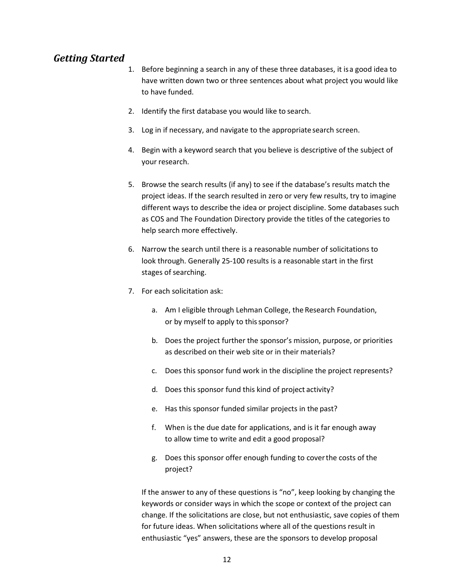# *Getting Started*

- 1. Before beginning a search in any of these three databases, it isa good idea to have written down two or three sentences about what project you would like to have funded.
- 2. Identify the first database you would like to search.
- 3. Log in if necessary, and navigate to the appropriate search screen.
- 4. Begin with a keyword search that you believe is descriptive of the subject of your research.
- 5. Browse the search results (if any) to see if the database's results match the project ideas. If the search resulted in zero or very few results, try to imagine different ways to describe the idea or project discipline. Some databases such as COS and The Foundation Directory provide the titles of the categories to help search more effectively.
- 6. Narrow the search until there is a reasonable number of solicitations to look through. Generally 25‐100 results is a reasonable start in the first stages of searching.
- 7. For each solicitation ask:
	- a. Am I eligible through Lehman College, the Research Foundation, or by myself to apply to this sponsor?
	- b. Does the project further the sponsor's mission, purpose, or priorities as described on their web site or in their materials?
	- c. Does this sponsor fund work in the discipline the project represents?
	- d. Does this sponsor fund this kind of project activity?
	- e. Has this sponsor funded similar projects in the past?
	- f. When is the due date for applications, and is it far enough away to allow time to write and edit a good proposal?
	- g. Does this sponsor offer enough funding to coverthe costs of the project?

If the answer to any of these questions is "no", keep looking by changing the keywords or consider ways in which the scope or context of the project can change. If the solicitations are close, but not enthusiastic, save copies of them for future ideas. When solicitations where all of the questions result in enthusiastic "yes" answers, these are the sponsors to develop proposal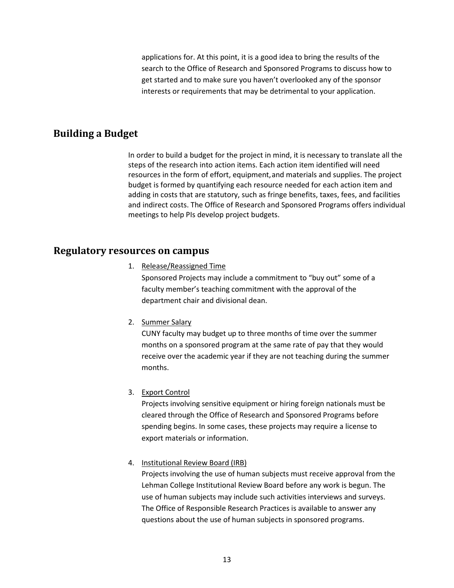applications for. At this point, it is a good idea to bring the results of the search to the Office of Research and Sponsored Programs to discuss how to get started and to make sure you haven't overlooked any of the sponsor interests or requirements that may be detrimental to your application.

# <span id="page-12-0"></span>**Building a Budget**

In order to build a budget for the project in mind, it is necessary to translate all the steps of the research into action items. Each action item identified will need resources in the form of effort, equipment,and materials and supplies. The project budget is formed by quantifying each resource needed for each action item and adding in costs that are statutory, such as fringe benefits, taxes, fees, and facilities and indirect costs. The Office of Research and Sponsored Programs offers individual meetings to help PIs develop project budgets.

## **Regulatory resources on campus**

1. Release/Reassigned Time

Sponsored Projects may include a commitment to "buy out" some of a faculty member's teaching commitment with the approval of the department chair and divisional dean.

2. Summer Salary

CUNY faculty may budget up to three months of time over the summer months on a sponsored program at the same rate of pay that they would receive over the academic year if they are not teaching during the summer months.

3. Export Control

Projects involving sensitive equipment or hiring foreign nationals must be cleared through the Office of Research and Sponsored Programs before spending begins. In some cases, these projects may require a license to export materials or information.

### 4. Institutional Review Board (IRB)

Projects involving the use of human subjects must receive approval from the Lehman College Institutional Review Board before any work is begun. The use of human subjects may include such activities interviews and surveys. The Office of Responsible Research Practices is available to answer any questions about the use of human subjects in sponsored programs.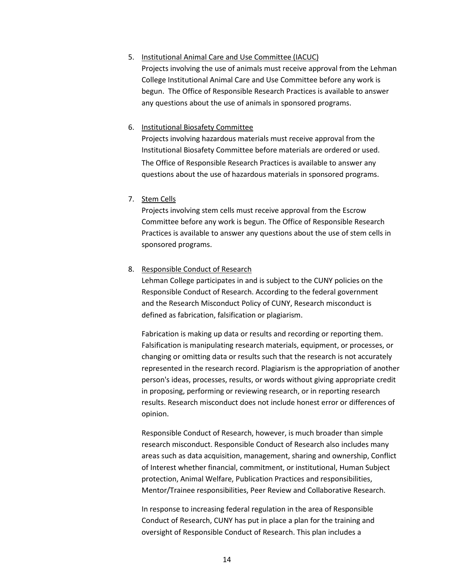#### 5. Institutional Animal Care and Use Committee (IACUC)

Projects involving the use of animals must receive approval from the Lehman College Institutional Animal Care and Use Committee before any work is begun. The Office of Responsible Research Practices is available to answer any questions about the use of animals in sponsored programs.

#### 6. Institutional Biosafety Committee

Projects involving hazardous materials must receive approval from the Institutional Biosafety Committee before materials are ordered or used. The Office of Responsible Research Practices is available to answer any questions about the use of hazardous materials in sponsored programs.

#### 7. Stem Cells

Projects involving stem cells must receive approval from the Escrow Committee before any work is begun. The Office of Responsible Research Practices is available to answer any questions about the use of stem cells in sponsored programs.

#### 8. Responsible Conduct of Research

Lehman College participates in and is subject to the CUNY policies on the Responsible Conduct of Research. According to the federal government and the Research Misconduct Policy of CUNY, Research misconduct is defined as fabrication, falsification or plagiarism.

Fabrication is making up data or results and recording or reporting them. Falsification is manipulating research materials, equipment, or processes, or changing or omitting data or results such that the research is not accurately represented in the research record. Plagiarism is the appropriation of another person's ideas, processes, results, or words without giving appropriate credit in proposing, performing or reviewing research, or in reporting research results. Research misconduct does not include honest error or differences of opinion.

Responsible Conduct of Research, however, is much broader than simple research misconduct. Responsible Conduct of Research also includes many areas such as data acquisition, management, sharing and ownership, Conflict of Interest whether financial, commitment, or institutional, Human Subject protection, Animal Welfare, Publication Practices and responsibilities, Mentor/Trainee responsibilities, Peer Review and Collaborative Research.

In response to increasing federal regulation in the area of Responsible Conduct of Research, CUNY has put in place a plan for the training and oversight of Responsible Conduct of Research. This plan includes a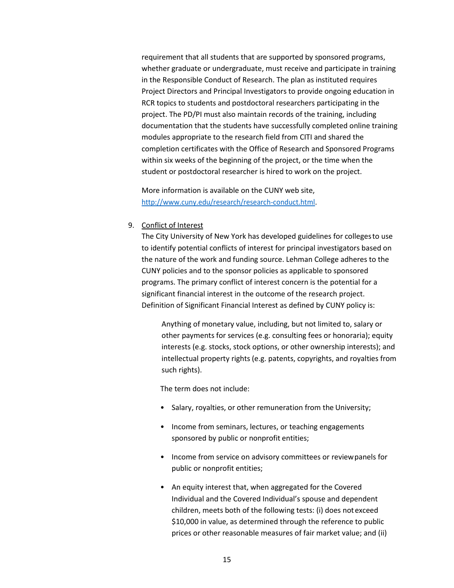requirement that all students that are supported by sponsored programs, whether graduate or undergraduate, must receive and participate in training in the Responsible Conduct of Research. The plan as instituted requires Project Directors and Principal Investigators to provide ongoing education in RCR topics to students and postdoctoral researchers participating in the project. The PD/PI must also maintain records of the training, including documentation that the students have successfully completed online training modules appropriate to the research field from CITI and shared the completion certificates with the Office of Research and Sponsored Programs within six weeks of the beginning of the project, or the time when the student or postdoctoral researcher is hired to work on the project.

More information is available on the CUNY web site, [http://www.cuny.edu/research/research‐conduct.html.](http://www.cuny.edu/research/research%E2%80%90conduct.html)

#### 9. Conflict of Interest

The City University of New York has developed guidelines for collegesto use to identify potential conflicts of interest for principal investigators based on the nature of the work and funding source. Lehman College adheres to the CUNY policies and to the sponsor policies as applicable to sponsored programs. The primary conflict of interest concern is the potential for a significant financial interest in the outcome of the research project. Definition of Significant Financial Interest as defined by CUNY policy is:

Anything of monetary value, including, but not limited to, salary or other payments for services (e.g. consulting fees or honoraria); equity interests (e.g. stocks, stock options, or other ownership interests); and intellectual property rights (e.g. patents, copyrights, and royalties from such rights).

The term does not include:

- Salary, royalties, or other remuneration from the University;
- Income from seminars, lectures, or teaching engagements sponsored by public or nonprofit entities;
- Income from service on advisory committees or reviewpanels for public or nonprofit entities;
- An equity interest that, when aggregated for the Covered Individual and the Covered Individual's spouse and dependent children, meets both of the following tests: (i) does notexceed \$10,000 in value, as determined through the reference to public prices or other reasonable measures of fair market value; and (ii)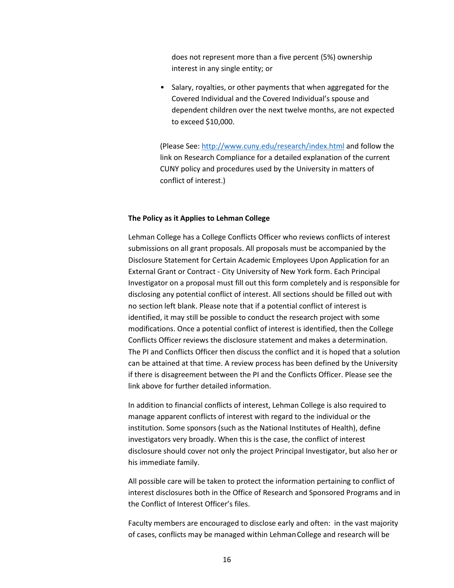does not represent more than a five percent (5%) ownership interest in any single entity; or

• Salary, royalties, or other payments that when aggregated for the Covered Individual and the Covered Individual's spouse and dependent children over the next twelve months, are not expected to exceed \$10,000.

(Please See:<http://www.cuny.edu/research/index.html> and follow the link on Research Compliance for a detailed explanation of the current CUNY policy and procedures used by the University in matters of conflict of interest.)

#### **The Policy as it Applies to Lehman College**

Lehman College has a College Conflicts Officer who reviews conflicts of interest submissions on all grant proposals. All proposals must be accompanied by the Disclosure Statement for Certain Academic Employees Upon Application for an External Grant or Contract ‐ City University of New York form. Each Principal Investigator on a proposal must fill out this form completely and is responsible for disclosing any potential conflict of interest. All sections should be filled out with no section left blank. Please note that if a potential conflict of interest is identified, it may still be possible to conduct the research project with some modifications. Once a potential conflict of interest is identified, then the College Conflicts Officer reviews the disclosure statement and makes a determination. The PI and Conflicts Officer then discuss the conflict and it is hoped that a solution can be attained at that time. A review process has been defined by the University if there is disagreement between the PI and the Conflicts Officer. Please see the link above for further detailed information.

In addition to financial conflicts of interest, Lehman College is also required to manage apparent conflicts of interest with regard to the individual or the institution. Some sponsors (such as the National Institutes of Health), define investigators very broadly. When this is the case, the conflict of interest disclosure should cover not only the project Principal Investigator, but also her or his immediate family.

All possible care will be taken to protect the information pertaining to conflict of interest disclosures both in the Office of Research and Sponsored Programs and in the Conflict of Interest Officer's files.

Faculty members are encouraged to disclose early and often: in the vast majority of cases, conflicts may be managed within LehmanCollege and research will be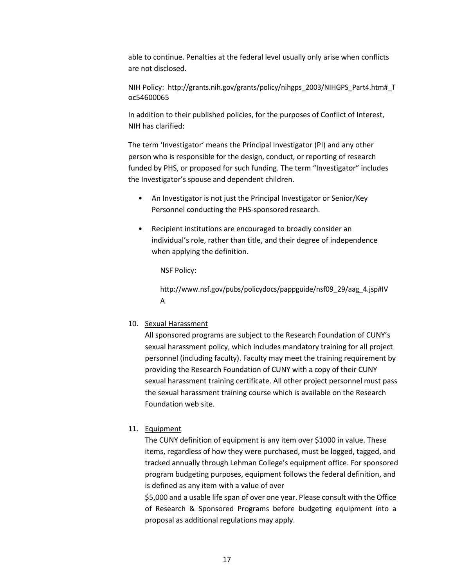able to continue. Penalties at the federal level usually only arise when conflicts are not disclosed.

NIH Policy: [http://grants.nih.gov/grants/policy/nihgps\\_2003/NIHGPS\\_Part4.htm#\\_T](http://grants.nih.gov/grants/policy/nihgps_2003/NIHGPS_Part4.htm#_T) oc54600065

In addition to their published policies, for the purposes of Conflict of Interest, NIH has clarified:

The term 'Investigator' means the Principal Investigator (PI) and any other person who is responsible for the design, conduct, or reporting of research funded by PHS, or proposed for such funding. The term "Investigator" includes the Investigator's spouse and dependent children.

- An Investigator is not just the Principal Investigator or Senior/Key Personnel conducting the PHS-sponsored research.
- Recipient institutions are encouraged to broadly consider an individual's role, rather than title, and their degree of independence when applying the definition.

NSF Policy:

[http://www.nsf.gov/pubs/policydocs/pappguide/nsf09\\_29/aag\\_4.jsp#IV](http://www.nsf.gov/pubs/policydocs/pappguide/nsf09_29/aag_4.jsp#IV)  A

10. Sexual Harassment

All sponsored programs are subject to the Research Foundation of CUNY's sexual harassment policy, which includes mandatory training for all project personnel (including faculty). Faculty may meet the training requirement by providing the Research Foundation of CUNY with a copy of their CUNY sexual harassment training certificate. All other project personnel must pass the sexual harassment training course which is available on the Research Foundation web site.

11. Equipment

The CUNY definition of equipment is any item over \$1000 in value. These items, regardless of how they were purchased, must be logged, tagged, and tracked annually through Lehman College's equipment office. For sponsored program budgeting purposes, equipment follows the federal definition, and is defined as any item with a value of over

\$5,000 and a usable life span of over one year. Please consult with the Office of Research & Sponsored Programs before budgeting equipment into a proposal as additional regulations may apply.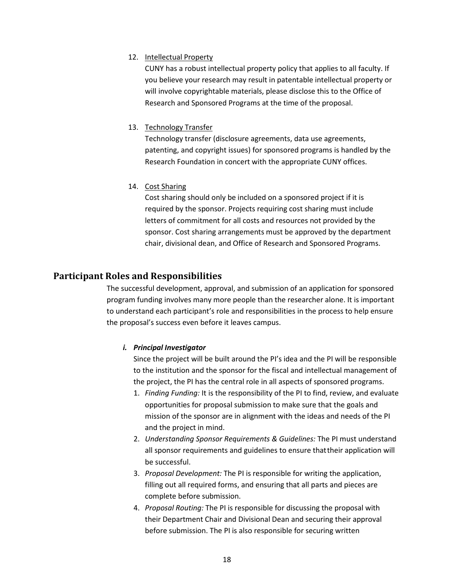#### 12. Intellectual Property

<span id="page-17-0"></span>CUNY has a robust intellectual property policy that applies to all faculty. If you believe your research may result in patentable intellectual property or will involve copyrightable materials, please disclose this to the Office of Research and Sponsored Programs at the time of the proposal.

#### 13. Technology Transfer

Technology transfer (disclosure agreements, data use agreements, patenting, and copyright issues) for sponsored programs is handled by the Research Foundation in concert with the appropriate CUNY offices.

#### 14. Cost Sharing

Cost sharing should only be included on a sponsored project if it is required by the sponsor. Projects requiring cost sharing must include letters of commitment for all costs and resources not provided by the sponsor. Cost sharing arrangements must be approved by the department chair, divisional dean, and Office of Research and Sponsored Programs.

## **Participant Roles and Responsibilities**

The successful development, approval, and submission of an application for sponsored program funding involves many more people than the researcher alone. It is important to understand each participant's role and responsibilities in the process to help ensure the proposal's success even before it leaves campus.

#### *i. Principal Investigator*

Since the project will be built around the PI's idea and the PI will be responsible to the institution and the sponsor for the fiscal and intellectual management of the project, the PI has the central role in all aspects of sponsored programs.

- 1. *Finding Funding:* It is the responsibility of the PI to find, review, and evaluate opportunities for proposal submission to make sure that the goals and mission of the sponsor are in alignment with the ideas and needs of the PI and the project in mind.
- 2. *Understanding Sponsor Requirements & Guidelines:* The PI must understand all sponsor requirements and guidelines to ensure thattheir application will be successful.
- 3. *Proposal Development:* The PI is responsible for writing the application, filling out all required forms, and ensuring that all parts and pieces are complete before submission.
- 4. *Proposal Routing:* The PI is responsible for discussing the proposal with their Department Chair and Divisional Dean and securing their approval before submission. The PI is also responsible for securing written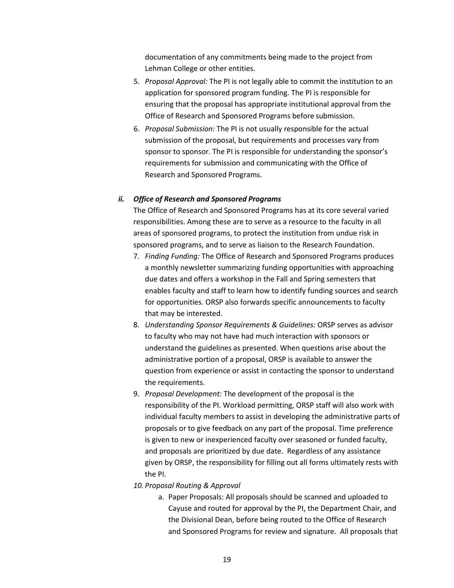documentation of any commitments being made to the project from Lehman College or other entities.

- 5. *Proposal Approval:* The PI is not legally able to commit the institution to an application for sponsored program funding. The PI is responsible for ensuring that the proposal has appropriate institutional approval from the Office of Research and Sponsored Programs before submission.
- 6. *Proposal Submission:* The PI is not usually responsible for the actual submission of the proposal, but requirements and processes vary from sponsor to sponsor. The PI is responsible for understanding the sponsor's requirements for submission and communicating with the Office of Research and Sponsored Programs.

#### *ii. Office of Research and Sponsored Programs*

The Office of Research and Sponsored Programs has at its core several varied responsibilities. Among these are to serve as a resource to the faculty in all areas of sponsored programs, to protect the institution from undue risk in sponsored programs, and to serve as liaison to the Research Foundation.

- 7. *Finding Funding:* The Office of Research and Sponsored Programs produces a monthly newsletter summarizing funding opportunities with approaching due dates and offers a workshop in the Fall and Spring semesters that enables faculty and staff to learn how to identify funding sources and search for opportunities. ORSP also forwards specific announcements to faculty that may be interested.
- 8. *Understanding Sponsor Requirements & Guidelines:* ORSP serves as advisor to faculty who may not have had much interaction with sponsors or understand the guidelines as presented. When questions arise about the administrative portion of a proposal, ORSP is available to answer the question from experience or assist in contacting the sponsor to understand the requirements.
- 9. *Proposal Development:* The development of the proposal is the responsibility of the PI. Workload permitting, ORSP staff will also work with individual faculty members to assist in developing the administrative parts of proposals or to give feedback on any part of the proposal. Time preference is given to new or inexperienced faculty over seasoned or funded faculty, and proposals are prioritized by due date. Regardless of any assistance given by ORSP, the responsibility for filling out all forms ultimately rests with the PI.
- *10. Proposal Routing & Approval*
	- a. Paper Proposals: All proposals should be scanned and uploaded to Cayuse and routed for approval by the PI, the Department Chair, and the Divisional Dean, before being routed to the Office of Research and Sponsored Programs for review and signature. All proposals that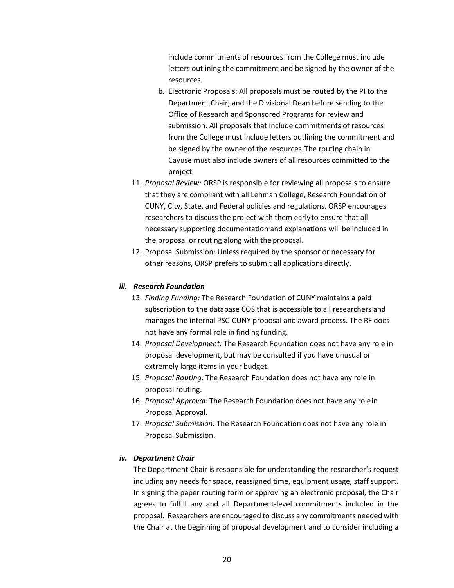include commitments of resources from the College must include letters outlining the commitment and be signed by the owner of the resources.

- b. Electronic Proposals: All proposals must be routed by the PI to the Department Chair, and the Divisional Dean before sending to the Office of Research and Sponsored Programs for review and submission. All proposals that include commitments of resources from the College must include letters outlining the commitment and be signed by the owner of the resources.The routing chain in Cayuse must also include owners of all resources committed to the project.
- 11. *Proposal Review:* ORSP is responsible for reviewing all proposals to ensure that they are compliant with all Lehman College, Research Foundation of CUNY, City, State, and Federal policies and regulations. ORSP encourages researchers to discuss the project with them earlyto ensure that all necessary supporting documentation and explanations will be included in the proposal or routing along with the proposal.
- 12. Proposal Submission: Unless required by the sponsor or necessary for other reasons, ORSP prefers to submit all applications directly.

#### *iii. Research Foundation*

- 13. *Finding Funding:* The Research Foundation of CUNY maintains a paid subscription to the database COS that is accessible to all researchers and manages the internal PSC‐CUNY proposal and award process. The RF does not have any formal role in finding funding.
- 14. *Proposal Development:* The Research Foundation does not have any role in proposal development, but may be consulted if you have unusual or extremely large items in your budget.
- 15. *Proposal Routing:* The Research Foundation does not have any role in proposal routing.
- 16. *Proposal Approval:* The Research Foundation does not have any rolein Proposal Approval.
- 17. *Proposal Submission:* The Research Foundation does not have any role in Proposal Submission.

#### *iv. Department Chair*

The Department Chair is responsible for understanding the researcher's request including any needs for space, reassigned time, equipment usage, staff support. In signing the paper routing form or approving an electronic proposal, the Chair agrees to fulfill any and all Department‐level commitments included in the proposal. Researchers are encouraged to discuss any commitments needed with the Chair at the beginning of proposal development and to consider including a